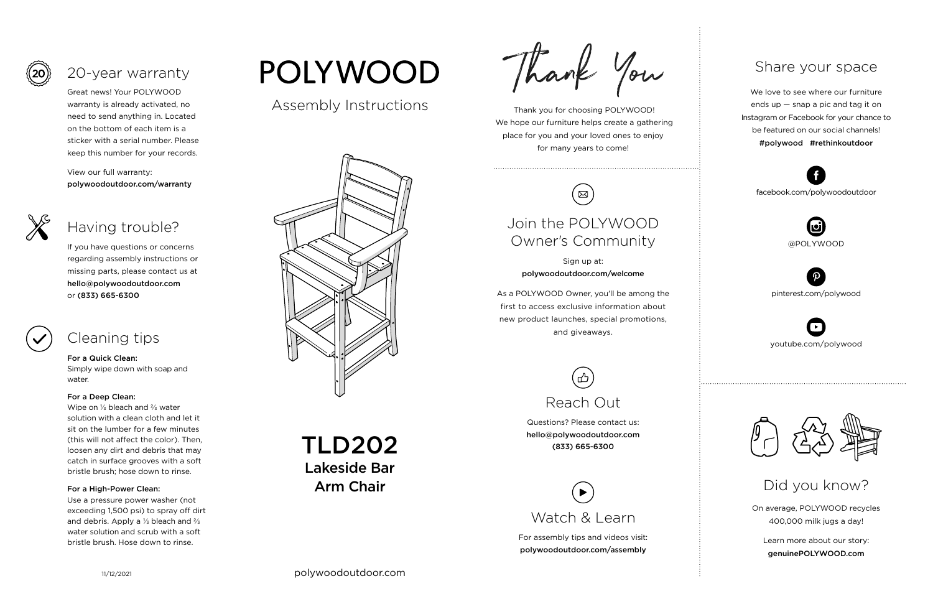Thank you for choosing POLYWOOD! We hope our furniture helps create a gathering place for you and your loved ones to enjoy for many years to come!



On average, POLYWOOD recycles 400,000 milk jugs a day!

Learn more about our story: genuinePOLYWOOD.com

We love to see where our furniture ends up — snap a pic and tag it on Instagram or Facebook for your chance to be featured on our social channels! #polywood #rethinkoutdoor



youtube.com/polywood



pinterest.com/polywood



facebook.com/polywoodoutdoor





Assembly Instructions



## Share your space

Did you know?

Great news! Your POLYWOOD warranty is already activated, no need to send anything in. Located on the bottom of each item is a sticker with a serial number. Please keep this number for your records.

View our full warranty: polywoodoutdoor.com/warranty



#### For a Quick Clean:

Simply wipe down with soap and water.

#### For a Deep Clean:

Wipe on ⅓ bleach and ⅔ water solution with a clean cloth and let it sit on the lumber for a few minutes (this will not affect the color). Then, loosen any dirt and debris that may catch in surface grooves with a soft bristle brush; hose down to rinse.

#### For a High-Power Clean:

Use a pressure power washer (not exceeding 1,500 psi) to spray off dirt and debris. Apply a ⅓ bleach and ⅔ water solution and scrub with a soft bristle brush. Hose down to rinse.

# **POLYWOOD**

If you have questions or concerns regarding assembly instructions or missing parts, please contact us at hello@polywoodoutdoor.com or (833) 665-6300





# 20-year warranty

## Having trouble?

## Cleaning tips

For assembly tips and videos visit: polywoodoutdoor.com/assembly



Sign up at: polywoodoutdoor.com/welcome

As a POLYWOOD Owner, you'll be among the first to access exclusive information about new product launches, special promotions, and giveaways.

## Join the POLYWOOD Owner's Community

Questions? Please contact us: hello@polywoodoutdoor.com (833) 665-6300



TLD202 Lakeside Bar Arm Chair

Thank You